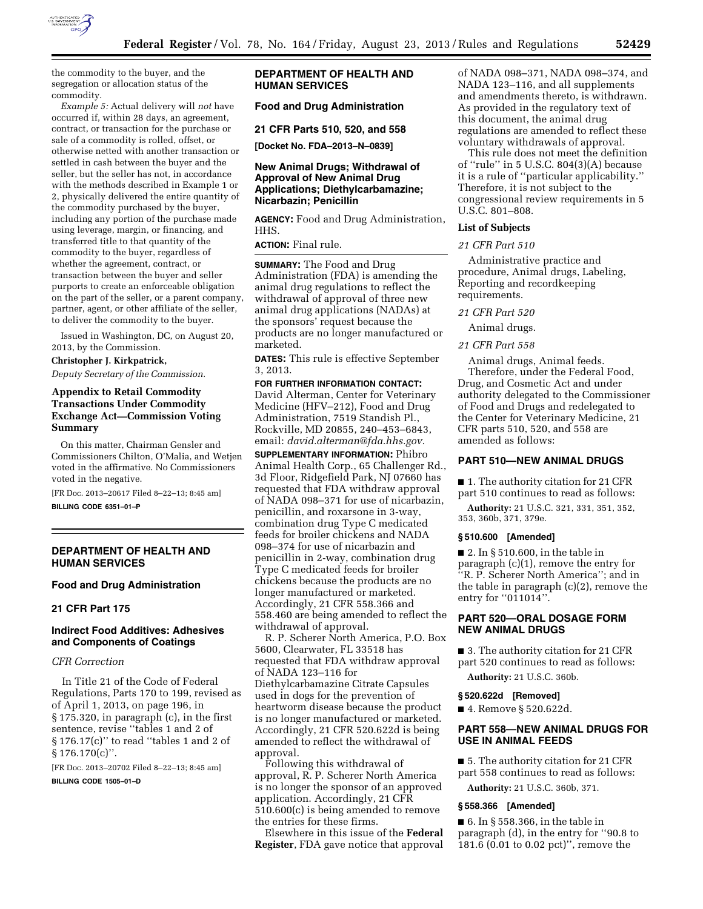

the commodity to the buyer, and the segregation or allocation status of the commodity.

*Example 5:* Actual delivery will *not* have occurred if, within 28 days, an agreement, contract, or transaction for the purchase or sale of a commodity is rolled, offset, or otherwise netted with another transaction or settled in cash between the buyer and the seller, but the seller has not, in accordance with the methods described in Example 1 or 2, physically delivered the entire quantity of the commodity purchased by the buyer, including any portion of the purchase made using leverage, margin, or financing, and transferred title to that quantity of the commodity to the buyer, regardless of whether the agreement, contract, or transaction between the buyer and seller purports to create an enforceable obligation on the part of the seller, or a parent company, partner, agent, or other affiliate of the seller, to deliver the commodity to the buyer.

Issued in Washington, DC, on August 20, 2013, by the Commission.

#### **Christopher J. Kirkpatrick,**

*Deputy Secretary of the Commission.* 

# **Appendix to Retail Commodity Transactions Under Commodity Exchange Act—Commission Voting Summary**

On this matter, Chairman Gensler and Commissioners Chilton, O'Malia, and Wetjen voted in the affirmative. No Commissioners voted in the negative.

[FR Doc. 2013–20617 Filed 8–22–13; 8:45 am] **BILLING CODE 6351–01–P** 

## **DEPARTMENT OF HEALTH AND HUMAN SERVICES**

## **Food and Drug Administration**

### **21 CFR Part 175**

## **Indirect Food Additives: Adhesives and Components of Coatings**

### *CFR Correction*

In Title 21 of the Code of Federal Regulations, Parts 170 to 199, revised as of April 1, 2013, on page 196, in § 175.320, in paragraph (c), in the first sentence, revise ''tables 1 and 2 of § 176.17(c)'' to read ''tables 1 and 2 of  $§ 176.170(c)$ ".

[FR Doc. 2013–20702 Filed 8–22–13; 8:45 am]

**BILLING CODE 1505–01–D** 

## **DEPARTMENT OF HEALTH AND HUMAN SERVICES**

## **Food and Drug Administration**

**21 CFR Parts 510, 520, and 558** 

**[Docket No. FDA–2013–N–0839]** 

## **New Animal Drugs; Withdrawal of Approval of New Animal Drug Applications; Diethylcarbamazine; Nicarbazin; Penicillin**

**AGENCY:** Food and Drug Administration, HHS.

## **ACTION:** Final rule.

**SUMMARY:** The Food and Drug Administration (FDA) is amending the animal drug regulations to reflect the withdrawal of approval of three new animal drug applications (NADAs) at the sponsors' request because the products are no longer manufactured or marketed.

**DATES:** This rule is effective September 3, 2013.

# **FOR FURTHER INFORMATION CONTACT:**  David Alterman, Center for Veterinary

Medicine (HFV–212), Food and Drug Administration, 7519 Standish Pl., Rockville, MD 20855, 240–453–6843, email: *[david.alterman@fda.hhs.gov.](mailto:david.alterman@fda.hhs.gov)* 

**SUPPLEMENTARY INFORMATION:** Phibro Animal Health Corp., 65 Challenger Rd., 3d Floor, Ridgefield Park, NJ 07660 has requested that FDA withdraw approval of NADA 098–371 for use of nicarbazin, penicillin, and roxarsone in 3-way, combination drug Type C medicated feeds for broiler chickens and NADA 098–374 for use of nicarbazin and penicillin in 2-way, combination drug Type C medicated feeds for broiler chickens because the products are no longer manufactured or marketed. Accordingly, 21 CFR 558.366 and 558.460 are being amended to reflect the withdrawal of approval.

R. P. Scherer North America, P.O. Box 5600, Clearwater, FL 33518 has requested that FDA withdraw approval of NADA 123–116 for Diethylcarbamazine Citrate Capsules used in dogs for the prevention of heartworm disease because the product is no longer manufactured or marketed. Accordingly, 21 CFR 520.622d is being amended to reflect the withdrawal of approval.

Following this withdrawal of approval, R. P. Scherer North America is no longer the sponsor of an approved application. Accordingly, 21 CFR 510.600(c) is being amended to remove the entries for these firms.

Elsewhere in this issue of the **Federal Register**, FDA gave notice that approval

of NADA 098–371, NADA 098–374, and NADA 123–116, and all supplements and amendments thereto, is withdrawn. As provided in the regulatory text of this document, the animal drug regulations are amended to reflect these voluntary withdrawals of approval.

This rule does not meet the definition of ''rule'' in 5 U.S.C. 804(3)(A) because it is a rule of ''particular applicability.'' Therefore, it is not subject to the congressional review requirements in 5 U.S.C. 801–808.

## **List of Subjects**

#### *21 CFR Part 510*

Administrative practice and procedure, Animal drugs, Labeling, Reporting and recordkeeping requirements.

### *21 CFR Part 520*

Animal drugs.

*21 CFR Part 558* 

Animal drugs, Animal feeds. Therefore, under the Federal Food, Drug, and Cosmetic Act and under authority delegated to the Commissioner of Food and Drugs and redelegated to the Center for Veterinary Medicine, 21 CFR parts 510, 520, and 558 are amended as follows:

## **PART 510—NEW ANIMAL DRUGS**

■ 1. The authority citation for 21 CFR part 510 continues to read as follows:

**Authority:** 21 U.S.C. 321, 331, 351, 352, 353, 360b, 371, 379e.

### **§ 510.600 [Amended]**

■ 2. In § 510.600, in the table in paragraph (c)(1), remove the entry for ''R. P. Scherer North America''; and in the table in paragraph (c)(2), remove the entry for "011014".

## **PART 520—ORAL DOSAGE FORM NEW ANIMAL DRUGS**

■ 3. The authority citation for 21 CFR part 520 continues to read as follows:

**Authority:** 21 U.S.C. 360b.

#### **§ 520.622d [Removed]**

■ 4. Remove § 520.622d.

# **PART 558—NEW ANIMAL DRUGS FOR USE IN ANIMAL FEEDS**

■ 5. The authority citation for 21 CFR part 558 continues to read as follows:

**Authority:** 21 U.S.C. 360b, 371.

#### **§ 558.366 [Amended]**

 $\blacksquare$  6. In § 558.366, in the table in paragraph (d), in the entry for ''90.8 to 181.6 (0.01 to 0.02 pct)'', remove the